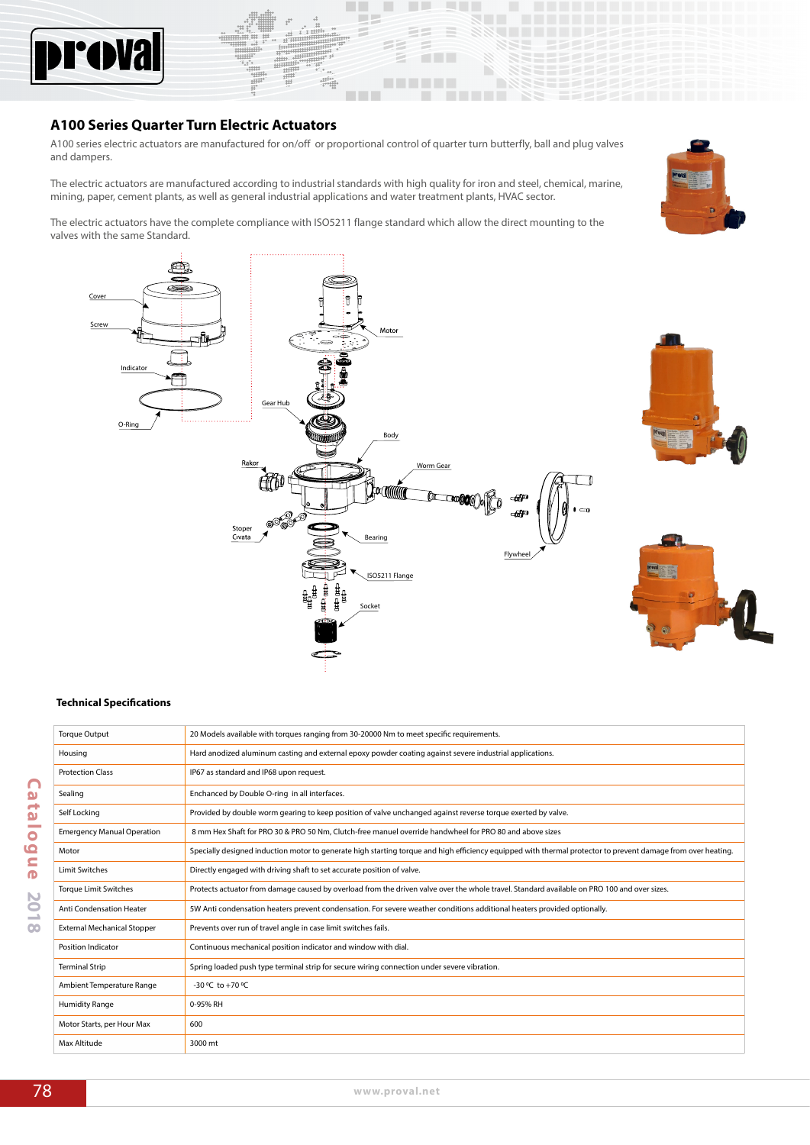

# **A100 Series Quarter Turn Electric Actuators**

A100 series electric actuators are manufactured for on/off or proportional control of quarter turn butterfly, ball and plug valves and dampers.

. .

 $\overline{\phantom{a}}$ 

**TELESCOPE** 

<u>a shekara</u>

٠

The electric actuators are manufactured according to industrial standards with high quality for iron and steel, chemical, marine, mining, paper, cement plants, as well as general industrial applications and water treatment plants, HVAC sector.

The electric actuators have the complete compliance with ISO5211 flange standard which allow the direct mounting to the valves with the same Standard.

Cover Screy Indicat đ Gear Hub O-Ri Body Rako Worm Gear Áť Stope  $Cvata$ ing Flywhe ISO5211 Flange Socket

Torque Output 20 Models available with torques ranging from 30-20000 Nm to meet specific requirements.





#### **Technical Specifications**

|                               | Housing                            | Hard anodized aluminum casting and external epoxy powder coating against severe industrial applications.                                                    |
|-------------------------------|------------------------------------|-------------------------------------------------------------------------------------------------------------------------------------------------------------|
|                               | <b>Protection Class</b>            | IP67 as standard and IP68 upon request.                                                                                                                     |
| $\cap$<br>$\mathbf{\Omega}$   | Sealing                            | Enchanced by Double O-ring in all interfaces.                                                                                                               |
| ÷<br>$\mathbf{a}$             | Self Locking                       | Provided by double worm gearing to keep position of valve unchanged against reverse torque exerted by valve.                                                |
| <b>College</b><br>$\bullet$   | <b>Emergency Manual Operation</b>  | 8 mm Hex Shaft for PRO 30 & PRO 50 Nm, Clutch-free manuel override handwheel for PRO 80 and above sizes                                                     |
| 0                             | Motor                              | Specially designed induction motor to generate high starting torque and high efficiency equipped with thermal protector to prevent damage from over heating |
| $\subset$<br>$\bullet$        | <b>Limit Switches</b>              | Directly engaged with driving shaft to set accurate position of valve.                                                                                      |
| $\mathbf{N}$                  | <b>Torque Limit Switches</b>       | Protects actuator from damage caused by overload from the driven valve over the whole travel. Standard available on PRO 100 and over sizes.                 |
| Ö<br>$\overline{\phantom{0}}$ | <b>Anti Condensation Heater</b>    | 5W Anti condensation heaters prevent condensation. For severe weather conditions additional heaters provided optionally.                                    |
| CO                            | <b>External Mechanical Stopper</b> | Prevents over run of travel angle in case limit switches fails.                                                                                             |
|                               | <b>Position Indicator</b>          | Continuous mechanical position indicator and window with dial.                                                                                              |
|                               | <b>Terminal Strip</b>              | Spring loaded push type terminal strip for secure wiring connection under severe vibration.                                                                 |
|                               | Ambient Temperature Range          | -30 °C to +70 °C                                                                                                                                            |
|                               | <b>Humidity Range</b>              | 0-95% RH                                                                                                                                                    |
|                               | Motor Starts, per Hour Max         | 600                                                                                                                                                         |
|                               | Max Altitude                       | 3000 mt                                                                                                                                                     |
|                               |                                    |                                                                                                                                                             |
| 78                            |                                    |                                                                                                                                                             |
|                               |                                    | www.proval.net                                                                                                                                              |

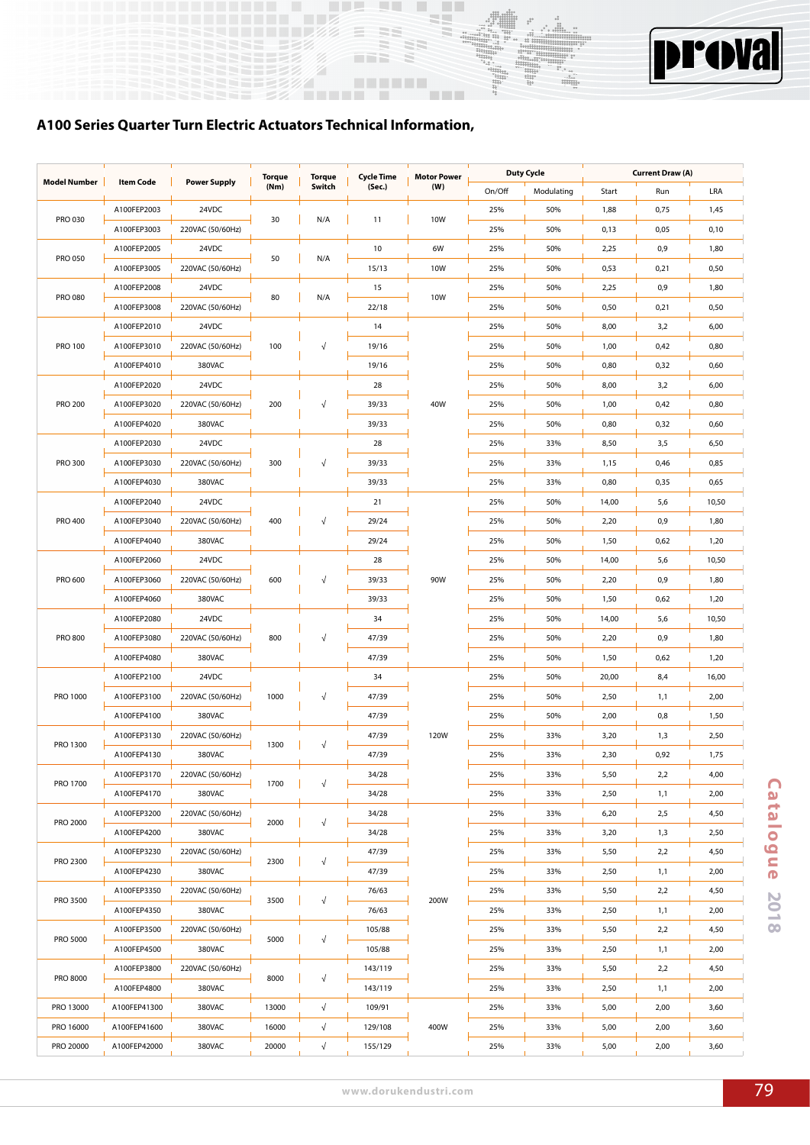



# **A100 Series Quarter Turn Electric Actuators Technical Information,**

| <b>Model Number</b> | <b>Item Code</b> | <b>Power Supply</b> | Torque | Torque     | Cycle Time | <b>Motor Power</b> |        | <b>Duty Cycle</b> |       | <b>Current Draw (A)</b> |       |
|---------------------|------------------|---------------------|--------|------------|------------|--------------------|--------|-------------------|-------|-------------------------|-------|
|                     |                  |                     | (Nm)   | Switch     | (Sec.)     | (W)                | On/Off | Modulating        | Start | Run                     | LRA   |
| PRO 030             | A100FEP2003      | 24VDC               | 30     | N/A        | 11         | <b>10W</b>         | 25%    | 50%               | 1,88  | 0,75                    | 1,45  |
|                     | A100FEP3003      | 220VAC (50/60Hz)    |        |            |            |                    | 25%    | 50%               | 0,13  | 0,05                    | 0,10  |
| <b>PRO 050</b>      | A100FEP2005      | 24VDC               | 50     | N/A        | 10         | 6W                 | 25%    | 50%               | 2,25  | 0,9                     | 1,80  |
|                     | A100FEP3005      | 220VAC (50/60Hz)    |        |            | 15/13      | 10W                | 25%    | 50%               | 0,53  | 0,21                    | 0,50  |
| PRO 080             | A100FEP2008      | 24VDC               | 80     | N/A        | 15         | <b>10W</b>         | 25%    | 50%               | 2,25  | 0,9                     | 1,80  |
|                     | A100FEP3008      | 220VAC (50/60Hz)    |        |            | 22/18      |                    | 25%    | 50%               | 0,50  | 0,21                    | 0,50  |
|                     | A100FEP2010      | 24VDC               |        |            | 14         |                    | 25%    | 50%               | 8,00  | 3,2                     | 6,00  |
| <b>PRO 100</b>      | A100FEP3010      | 220VAC (50/60Hz)    | 100    |            | 19/16      |                    | 25%    | 50%               | 1,00  | 0,42                    | 0,80  |
|                     | A100FEP4010      | 380VAC              |        |            | 19/16      |                    | 25%    | 50%               | 0,80  | 0,32                    | 0,60  |
|                     | A100FEP2020      | 24VDC               |        |            | 28         |                    | 25%    | 50%               | 8,00  | 3,2                     | 6,00  |
| <b>PRO 200</b>      | A100FEP3020      | 220VAC (50/60Hz)    | 200    | √          | 39/33      | 40W                | 25%    | 50%               | 1,00  | 0,42                    | 0,80  |
|                     | A100FEP4020      | 380VAC              |        |            | 39/33      |                    | 25%    | 50%               | 0,80  | 0,32                    | 0,60  |
|                     | A100FEP2030      | 24VDC               |        |            | 28         |                    | 25%    | 33%               | 8,50  | 3,5                     | 6,50  |
| <b>PRO 300</b>      | A100FEP3030      | 220VAC (50/60Hz)    | 300    |            | 39/33      |                    | 25%    | 33%               | 1,15  | 0,46                    | 0,85  |
|                     | A100FEP4030      | 380VAC              |        |            | 39/33      |                    | 25%    | 33%               | 0,80  | 0,35                    | 0,65  |
|                     | A100FEP2040      | 24VDC               |        |            | 21         |                    | 25%    | 50%               | 14,00 | 5,6                     | 10,50 |
| <b>PRO 400</b>      | A100FEP3040      | 220VAC (50/60Hz)    | 400    |            | 29/24      |                    | 25%    | 50%               | 2,20  | 0,9                     | 1,80  |
|                     | A100FEP4040      | 380VAC              |        |            | 29/24      |                    | 25%    | 50%               | 1,50  | 0,62                    | 1,20  |
|                     | A100FEP2060      | 24VDC               |        |            | 28         |                    | 25%    | 50%               | 14,00 | 5,6                     | 10,50 |
| PRO 600             | A100FEP3060      | 220VAC (50/60Hz)    | 600    |            | 39/33      | 90W                | 25%    | 50%               | 2,20  | 0,9                     | 1,80  |
|                     | A100FEP4060      | 380VAC              |        |            | 39/33      |                    | 25%    | 50%               | 1,50  | 0,62                    | 1,20  |
|                     |                  | 24VDC               |        |            |            |                    |        |                   |       |                         |       |
|                     | A100FEP2080      |                     |        |            | 34         |                    | 25%    | 50%               | 14,00 | 5,6                     | 10,50 |
| PRO 800             | A100FEP3080      | 220VAC (50/60Hz)    | 800    |            | 47/39      |                    | 25%    | 50%               | 2,20  | 0,9                     | 1,80  |
|                     | A100FEP4080      | 380VAC              |        |            | 47/39      |                    | 25%    | 50%               | 1,50  | 0,62                    | 1,20  |
|                     | A100FEP2100      | 24VDC               |        |            | 34         |                    | 25%    | 50%               | 20,00 | 8,4                     | 16,00 |
| PRO 1000            | A100FEP3100      | 220VAC (50/60Hz)    | 1000   | √          | 47/39      |                    | 25%    | 50%               | 2,50  | 1,1                     | 2,00  |
|                     | A100FEP4100      | 380VAC              |        |            | 47/39      |                    | 25%    | 50%               | 2,00  | 0,8                     | 1,50  |
| PRO 1300            | A100FEP3130      | 220VAC (50/60Hz)    | 1300   | Ń          | 47/39      | 120W               | 25%    | 33%               | 3,20  | 1,3                     | 2,50  |
|                     | A100FEP4130      | 380VAC              |        |            | 47/39      |                    | 25%    | 33%               | 2,30  | 0,92                    | 1,75  |
| PRO 1700            | A100FEP3170      | 220VAC (50/60Hz)    | 1700   |            | 34/28      |                    | 25%    | 33%               | 5,50  | 2,2                     | 4,00  |
|                     | A100FEP4170      | 380VAC              |        |            | 34/28      |                    | 25%    | 33%               | 2,50  | 1,1                     | 2,00  |
| PRO 2000            | A100FEP3200      | 220VAC (50/60Hz)    | 2000   |            | 34/28      |                    | 25%    | 33%               | 6,20  | 2,5                     | 4,50  |
|                     | A100FEP4200      | 380VAC              |        |            | 34/28      |                    | 25%    | 33%               | 3,20  | 1,3                     | 2,50  |
|                     | A100FEP3230      | 220VAC (50/60Hz)    |        |            | 47/39      |                    | 25%    | 33%               | 5,50  | 2,2                     | 4,50  |
| PRO 2300            | A100FEP4230      | 380VAC              | 2300   | √          | 47/39      |                    | 25%    | 33%               | 2,50  | 1,1                     | 2,00  |
|                     | A100FEP3350      | 220VAC (50/60Hz)    |        |            | 76/63      |                    | 25%    | 33%               | 5,50  | 2,2                     | 4,50  |
| PRO 3500            | A100FEP4350      | 380VAC              | 3500   |            | 76/63      | 200W               | 25%    | 33%               | 2,50  | 1,1                     | 2,00  |
|                     | A100FEP3500      | 220VAC (50/60Hz)    |        |            | 105/88     |                    | 25%    | 33%               | 5,50  | 2,2                     | 4,50  |
| PRO 5000            | A100FEP4500      | 380VAC              | 5000   | $\sqrt{}$  | 105/88     |                    | 25%    | 33%               | 2,50  | 1,1                     | 2,00  |
|                     | A100FEP3800      | 220VAC (50/60Hz)    |        |            | 143/119    |                    | 25%    | 33%               | 5,50  | 2,2                     | 4,50  |
| PRO 8000            | A100FEP4800      | 380VAC              | 8000   | √          | 143/119    |                    | 25%    | 33%               | 2,50  | 1,1                     | 2,00  |
| PRO 13000           | A100FEP41300     | 380VAC              | 13000  | $\sqrt{ }$ | 109/91     |                    | 25%    | 33%               | 5,00  | 2,00                    | 3,60  |
| PRO 16000           | A100FEP41600     | 380VAC              | 16000  | $\sqrt{ }$ | 129/108    | 400W               | 25%    | 33%               | 5,00  | 2,00                    | 3,60  |
| PRO 20000           | A100FEP42000     | 380VAC              | 20000  | $\sqrt{}$  | 155/129    |                    | 25%    | 33%               | 5,00  | 2,00                    | 3,60  |
|                     |                  |                     |        |            |            |                    |        |                   |       |                         |       |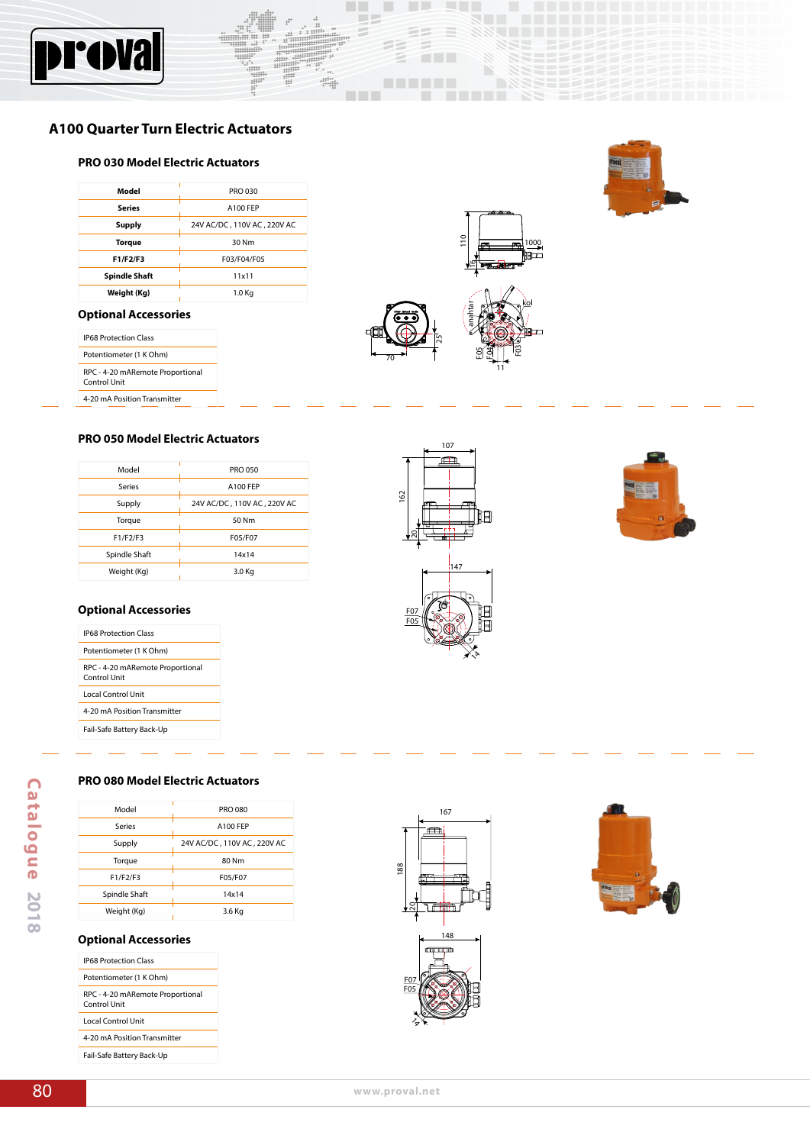

# **A100 Quarter Turn Electric Actuators**

## **PRO 030 Model Electric Actuators**

| PRO 030                     |
|-----------------------------|
| A100 FEP                    |
| 24V AC/DC, 110V AC, 220V AC |
| 30 Nm                       |
| F03/F04/F05                 |
| 11x11                       |
| 1.0 Kg                      |
|                             |

# **Optional Accessories**

| <b>IP68 Protection Class</b>                     |
|--------------------------------------------------|
| Potentiometer (1 K Ohm)                          |
| RPC - 4-20 mARemote Proportional<br>Control Unit |
| 4-20 mA Position Transmitter                     |



**TELESCOPE** 

<u> Timbul T</u>

11

SEERTER

#### **PRO 050 Model Electric Actuators**

| Model         | <b>PRO 050</b>              |
|---------------|-----------------------------|
| Series        | A100 FEP                    |
| Supply        | 24V AC/DC, 110V AC, 220V AC |
| Torque        | 50 Nm                       |
| F1/F2/F3      | F05/F07                     |
| Spindle Shaft | 14x14                       |
| Weight (Kg)   | 3.0 Kg                      |

## **Optional Accessories**

| <b>IP68 Protection Class</b>                     |
|--------------------------------------------------|
| Potentiometer (1 K Ohm)                          |
| RPC - 4-20 mARemote Proportional<br>Control Unit |
| Local Control Unit                               |
| 4-20 mA Position Transmitter                     |
| Fail-Safe Battery Back-Up                        |

# 147 F05 F07  $\lambda$ 162 ನ

107



**PRO 080 Model Electric Actuators**

| Model                                                                              | <b>PRO 080</b>              |    |
|------------------------------------------------------------------------------------|-----------------------------|----|
| Series                                                                             | A100 FEP                    |    |
| Supply                                                                             | 24V AC/DC, 110V AC, 220V AC |    |
| Torque                                                                             | 80 Nm                       |    |
| F1/F2/F3                                                                           | F05/F07                     | 88 |
|                                                                                    | 14x14                       |    |
| Spindle Shaft                                                                      |                             |    |
| Weight (Kg)<br><b>IP68 Protection Class</b>                                        | 3.6 Kg                      |    |
| <b>Optional Accessories</b>                                                        |                             |    |
| Potentiometer (1 K Ohm)<br>RPC - 4-20 mARemote Proportional<br><b>Control Unit</b> |                             |    |
| <b>Local Control Unit</b>                                                          |                             |    |
| 4-20 mA Position Transmitter                                                       |                             |    |

# **Optional Accessories**

| <b>IP68 Protection Class</b>                     |
|--------------------------------------------------|
| Potentiometer (1 K Ohm)                          |
| RPC - 4-20 mARemote Proportional<br>Control Unit |
| Local Control Unit                               |
| 4-20 mA Position Transmitter                     |
| Fail-Safe Battery Back-Up                        |